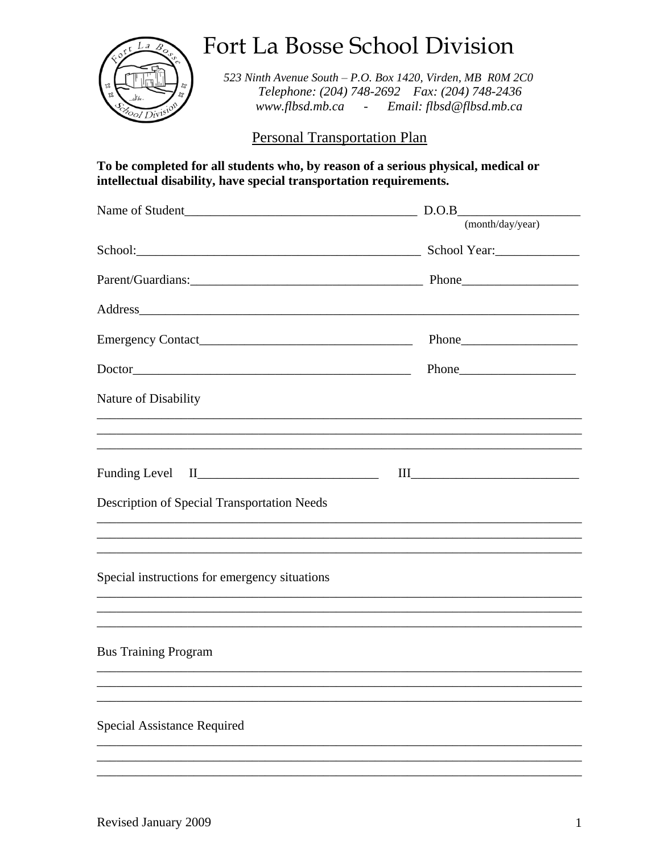

Fort La Bosse School Division

523 Ninth Avenue South - P.O. Box 1420, Virden, MB ROM 2CO Telephone: (204) 748-2692 Fax: (204) 748-2436 www.flbsd.mb.ca - Email: flbsd@flbsd.mb.ca

**Personal Transportation Plan** 

## To be completed for all students who, by reason of a serious physical, medical or intellectual disability, have special transportation requirements.

|                                                                                                                                                                                                                                | D.O.B                                                                                                   |
|--------------------------------------------------------------------------------------------------------------------------------------------------------------------------------------------------------------------------------|---------------------------------------------------------------------------------------------------------|
|                                                                                                                                                                                                                                | (month/day/year)                                                                                        |
|                                                                                                                                                                                                                                |                                                                                                         |
|                                                                                                                                                                                                                                |                                                                                                         |
| Address and the contract of the contract of the contract of the contract of the contract of the contract of the contract of the contract of the contract of the contract of the contract of the contract of the contract of th |                                                                                                         |
|                                                                                                                                                                                                                                |                                                                                                         |
|                                                                                                                                                                                                                                |                                                                                                         |
| Nature of Disability                                                                                                                                                                                                           |                                                                                                         |
|                                                                                                                                                                                                                                |                                                                                                         |
|                                                                                                                                                                                                                                | $\begin{tabular}{ c c c } \hline III & \quad \quad & \quad \quad & \quad \quad \\ \hline \end{tabular}$ |
| Description of Special Transportation Needs                                                                                                                                                                                    |                                                                                                         |
| ,我们也不会有什么。""我们的人,我们也不会有什么?""我们的人,我们也不会有什么?""我们的人,我们也不会有什么?""我们的人,我们也不会有什么?""我们的人                                                                                                                                               |                                                                                                         |
| Special instructions for emergency situations                                                                                                                                                                                  |                                                                                                         |
| ,我们也不会有什么。""我们的人,我们也不会有什么?""我们的人,我们也不会有什么?""我们的人,我们也不会有什么?""我们的人,我们也不会有什么?""我们的人                                                                                                                                               |                                                                                                         |
| <b>Bus Training Program</b>                                                                                                                                                                                                    |                                                                                                         |
|                                                                                                                                                                                                                                |                                                                                                         |
|                                                                                                                                                                                                                                |                                                                                                         |
| <b>Special Assistance Required</b>                                                                                                                                                                                             |                                                                                                         |
|                                                                                                                                                                                                                                |                                                                                                         |